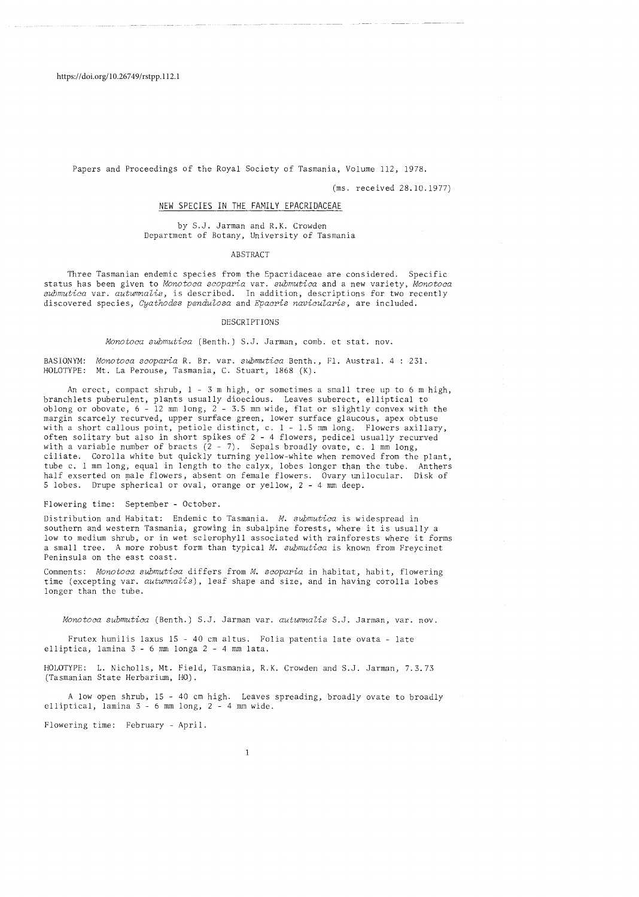Papers and Proceedings of the Royal Society of Tasmania, Volume ll2, 1978.

(ms. received 28.10.1977)

# NEW SPECIES IN THE FAMILY EPACRIDACEAE

### by S.J. Jarman and R.K. Crowden Department of Botany, University of Tasmania

#### ABSTRACT

Three Tasmanian endemic species from the Epacridaceae are considered. Specific status has been given to *Monotoca scoparia* var. *submutica* and a new variety, *Monotoca submutica* var. *autumnaZis,* is described. In addition, descriptions for two recently discovered species, *Cyathodes pendulosa* and *Epacris navicularis*, are included.

#### DESCRIPTIONS

*Monotoca submutica* (Benth.) S.J. Jarman, comb. et stat. nov.

BASIONYM: *Monotoca scoparia* R. Br. var. *submutica* Benth., Fl. Austral. 4 231. HOLOTYPE: Mt. La Perouse, Tasmania, C. Stuart, 1868 (K).

An erect, compact shrub, 1 - 3 m high, or sometimes a small tree up to 6 m high, branchlets puberulent, plants usually dioecious. Leaves suberect, elliptical to oblong or obovate, 6 - 12 mm long, 2 - 3.5 mm wide, flat or slightly convex with the margin scarcely recurved, upper surface green, lower surface glaucous, apex obtuse with a short callous point, petiole distinct, c. 1 - 1.5 mm long. Flowers axillary, often solitary but also in short spikes of 2 - 4 flowers, pedicel usually recurved with a variable number of bracts  $(2 - 7)$ . Sepals broadly ovate, c. 1 mm long, ciliate. Corolla white but quickly turning yellow-white when removed from the plant, tube c. 1 mm long, equal in length to the calyx, lobes longer than the tube. Anthers half exserted on male flowers, absent on female flowers. Ovary unilocular. Disk of 5 lobes. Drupe spherical or oval, orange or yellow, 2 - 4 mm deep.

Flowering time: September - October.

Distribution and Habitat: Endemic to Tasmania. *M. submutica* is widespread in southern and western Tasmania, growing in subalpine forests, where it is usually a low to medium shrub, or in wet sclerophyll associated with rainforests where it forms a small tree. A more robust form than typical *M. submutica* is known from Freycinet Peninsula on the east coast.

Comments: *Monotoca submutica* differs from *M. scoparia* in habitat, habit, flowering time (excepting var. *autumnalis*), leaf shape and size, and in having corolla lobes longer than the tube.

*Monotoca submutica* (Benth.) S.J. Jarman var. *autumnaZis* S.J. Jarman, var. nov.

Frutex humilis laxus 15 - 40 cm altus. Folia patentia late ovata - late elliptica, lamina 3 - 6 mm longa 2 - 4 mm lata.

HOLOTYPE: L. Nicholls, Mt. Field, Tasmania, R.K. Crowden and S.J. Jarman, 7.3.73 (Tasmanian State Herbarium, HO).

A low open shrub, 15 - 40 cm high. Leaves spreading, broadly ovate to broadly elliptical, lamina 3 - 6 mm long, 2 - 4 mm wide.

Flowering time: February - April.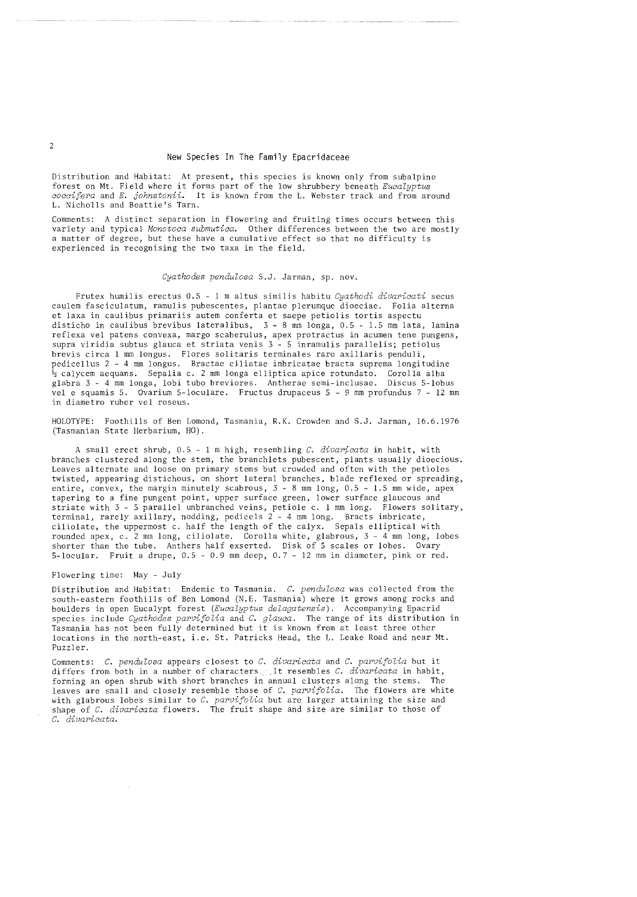# New Species In The Family Epacridaceae

Distribution and Habitat: At present, this species is known only from subalpine forest on Mt. Field where it forms part of the low shrubbery beneath *Eucalyptus coccifera* and *E. ,johnstonii.* It is known from the L. Webster track and from around L. Nicholls and Beattie's Tarn.

Comments: A distinct separation in flowering and fruiting times occurs between this variety and typical *Monotoca suhmutica.* Other differences between the two are mostly a matter of degree, but these have a cumulative effect so that no difficulty is experienced in recognising the two taxa in the field.

#### *Cyathodes pendulosa* S.J. Jarman, sp. nov.

Frutex humilis erectus 0.5 - 1 m altus similis habitu *Cyathodi divaricati* secus caulem fasciculatum, ramulis pubescentes, plantae plerumque dioeciae. Folia alterna et laxa in caulibus primariis autem conferta et saepe petiolis tortis aspectu disticho in caulibus brevibus lateralibus, 3 - 8 mm longa, 0.5 - 1.5 mm lata, lamina reflexa vel patens convexa, margo scaberulus, apex protractus in acumen tene pungens, supra viridia subtus glauca et striata venis 3 - 5 inramulis parallelis; petiolus brevis circa 1 mm longus. Flores solitaris terminales raro axillaris penduli, pedicel Ius 2 - 4 mm longus. Bractae ciliatae imbricatae bracta suprema longitudine .<br>½ calycem aequans. Sepalia c. 2 mm longa elliptica apice rotundato. Corolla alba glabra 3 - 4 mm longa, lobi tubo breviores. Antherae semi-inclusae. Discus 5-lobus vel e squamis 5. Ovarium 5-loculare. Fructus drupaceus 5 - 9 mm profundus 7 - 12 mm in diametro ruber vel roseus.

HOLOTYPE: Foothills of Ben Lomond, Tasmania, R.K. Crowden and S.J. Jarman, 16.6.1976 (Tasmanian State Herbarium, HO).

A small erect shrub, 0.5 - 1 m high, resembling *C. divaricata* in habit, with branches clustered along the stem, the branchlets pubescent, plants usually dioecious. Leaves alternate and loose on primary stems but crowded and often with the petioles twisted, appearing distichous, on short lateral branches, blade reflexed or spreading, entire, convex, the margin minutely scabrous, 3 - 8 mm long, 0.5 - 1.5 mm wide, apex tapering to a fine pungent point, upper surface green, lower surface glaucous and striate with 3 - 5 parallel unbranched veins, petiole c. 1 mm long. Flowers solitary, terminal, rarely axillary, nodding, pedicels 2 - 4 mm long. Bracts imbricate, ciliolate, the uppermost c. half the length of the calyx. Sepals elliptical with rounded apex, c. 2 mm long, ciliolate. Corolla white, glabrous, 3 - 4 mm long, lobes shorter than the tube. Anthers half exserted. Disk of 5 scales or lobes. Ovary 5-locular. Fruit a drupe, 0.5 - 0.9 mm deep, 0.7 - 12 mm in diameter, pink or red.

## Flowering time: May - July

Distribution and Habitat: Endemic to Tasmania. *C. pendulosa* was collected from the south-eastern foothills of Ben Lomond (N.E. Tasmania) where it grows among rocks and boulders in open Eucalypt forest *(Eucalyptus delagatensis).* Accompanying Epacrid species include *Cyathodes parvifolia* and *C. glauca.* The range of its distribution in Tasmania has not been fully determined but it is known from at least three other locations in the north-east, i.e. St. Patricks Head, the L. Leake Road and near Mt. Puzzler.

Comments: *C. pendulosa* appears closest to *C. divaricata* and *C. parvifolia* but it differs from both in a number of characters. ,It resembles *C. divaricata* in habit, forming an open shrub with short branches in annual clusters along the stems. The leaves are small and closely resemble those of *C. parvifolia.* The flowers are white with glabrous lobes similar to *C. parvifolia* but are larger attaining the size and shape of *C. divaricata* flowers. The fruit shape and size are similar to those of *C. divaricata.*